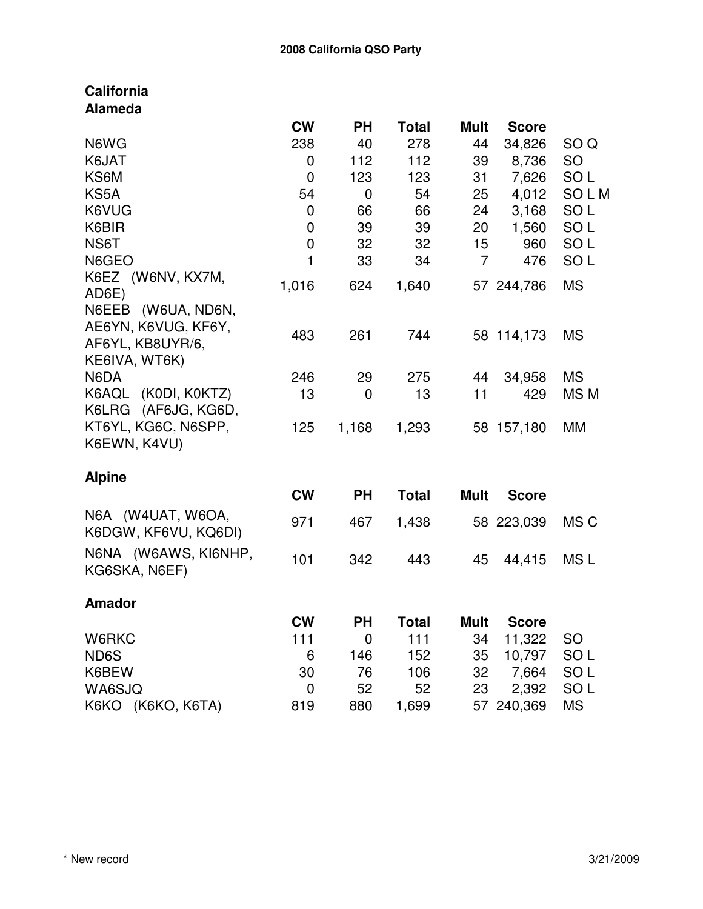| <b>California</b>    |              |             |              |                |              |                 |
|----------------------|--------------|-------------|--------------|----------------|--------------|-----------------|
| <b>Alameda</b>       |              |             |              |                |              |                 |
|                      | <b>CW</b>    | <b>PH</b>   | <b>Total</b> | <b>Mult</b>    | <b>Score</b> |                 |
| N6WG                 | 238          | 40          | 278          | 44             | 34,826       | SO <sub>Q</sub> |
| K6JAT                | 0            | 112         | 112          | 39             | 8,736        | <b>SO</b>       |
| KS6M                 | 0            | 123         | 123          | 31             | 7,626        | SO <sub>L</sub> |
| KS5A                 | 54           | 0           | 54           | 25             | 4,012        | SOLM            |
| K6VUG                | 0            | 66          | 66           | 24             | 3,168        | SO <sub>L</sub> |
| K6BIR                | 0            | 39          | 39           | 20             | 1,560        | SO <sub>L</sub> |
| NS6T                 | $\mathbf 0$  | 32          | 32           | 15             | 960          | SO <sub>L</sub> |
| N6GEO                | $\mathbf{1}$ | 33          | 34           | $\overline{7}$ | 476          | SO <sub>L</sub> |
| K6EZ (W6NV, KX7M,    |              |             |              |                |              |                 |
| AD6E)                | 1,016        | 624         | 1,640        |                | 57 244,786   | <b>MS</b>       |
| N6EEB (W6UA, ND6N,   |              |             |              |                |              |                 |
| AE6YN, K6VUG, KF6Y,  |              |             |              |                |              |                 |
| AF6YL, KB8UYR/6,     | 483          | 261         | 744          |                | 58 114,173   | <b>MS</b>       |
| KE6IVA, WT6K)        |              |             |              |                |              |                 |
| N6DA                 | 246          | 29          | 275          | 44             | 34,958       | <b>MS</b>       |
| K6AQL (K0DI, K0KTZ)  | 13           | 0           | 13           | 11             | 429          | MS <sub>M</sub> |
| K6LRG (AF6JG, KG6D,  |              |             |              |                |              |                 |
| KT6YL, KG6C, N6SPP,  | 125          | 1,168       | 1,293        |                | 58 157,180   | <b>MM</b>       |
| K6EWN, K4VU)         |              |             |              |                |              |                 |
|                      |              |             |              |                |              |                 |
| <b>Alpine</b>        |              |             |              |                |              |                 |
|                      | <b>CW</b>    | <b>PH</b>   | <b>Total</b> | <b>Mult</b>    | <b>Score</b> |                 |
| N6A (W4UAT, W6OA,    | 971          | 467         |              |                |              | MS C            |
| K6DGW, KF6VU, KQ6DI) |              |             | 1,438        |                | 58 223,039   |                 |
| N6NA (W6AWS, KI6NHP, |              |             |              |                |              |                 |
| KG6SKA, N6EF)        | 101          | 342         | 443          | 45             | 44,415       | MS <sub>L</sub> |
|                      |              |             |              |                |              |                 |
| <b>Amador</b>        |              |             |              |                |              |                 |
|                      | <b>CW</b>    | <b>PH</b>   | <b>Total</b> | <b>Mult</b>    | <b>Score</b> |                 |
| W6RKC                | 111          | $\mathbf 0$ | 111          | 34             | 11,322       | <b>SO</b>       |
| ND6S                 | 6            | 146         | 152          | 35             | 10,797       | SO <sub>L</sub> |
| K6BEW                | 30           | 76          | 106          | 32             | 7,664        | SO <sub>L</sub> |
| WA6SJQ               | 0            | 52          | 52           | 23             | 2,392        | SO <sub>L</sub> |
| K6KO (K6KO, K6TA)    | 819          | 880         | 1,699        | 57             | 240,369      | <b>MS</b>       |
|                      |              |             |              |                |              |                 |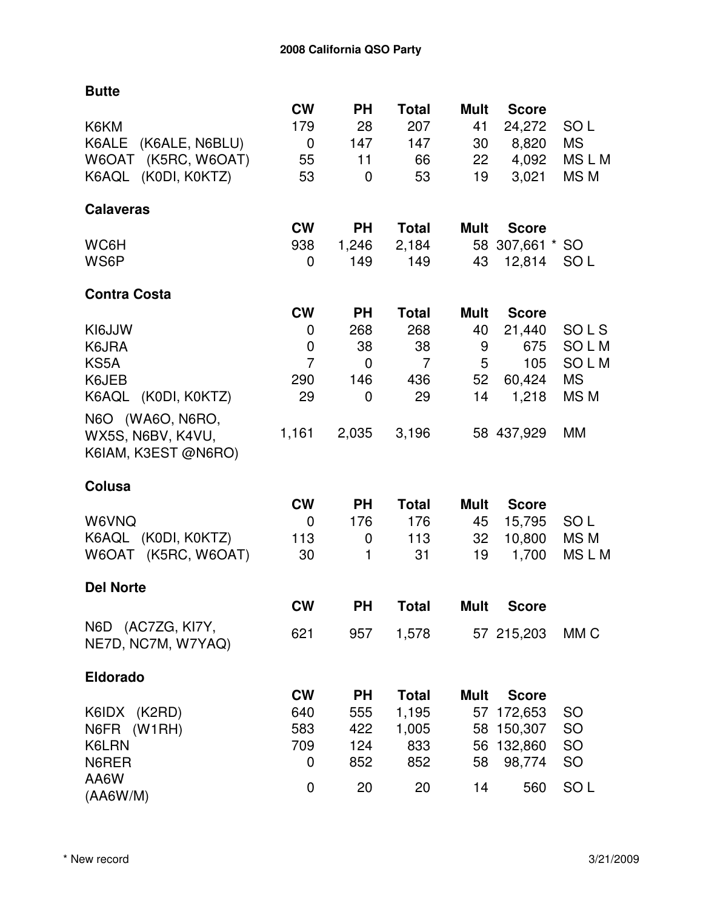**Butte**

|                                          | <b>CW</b>      | <b>PH</b>    | <b>Total</b>   | <b>Mult</b> | <b>Score</b>    |                 |
|------------------------------------------|----------------|--------------|----------------|-------------|-----------------|-----------------|
| K6KM                                     | 179            | 28           | 207            | 41          | 24,272          | SO <sub>L</sub> |
| K6ALE (K6ALE, N6BLU)                     | $\mathbf 0$    | 147          | 147            | 30          | 8,820           | <b>MS</b>       |
| (K5RC, W6OAT)<br>W6OAT                   | 55             | 11           | 66             | 22          | 4,092           | MSLM            |
| K6AQL (K0DI, K0KTZ)                      | 53             | 0            | 53             | 19          | 3,021           | MS M            |
| <b>Calaveras</b>                         |                |              |                |             |                 |                 |
|                                          | <b>CW</b>      | <b>PH</b>    | <b>Total</b>   | Mult        | <b>Score</b>    |                 |
| WC6H                                     | 938            | 1,246        | 2,184          |             | 58 307,661 * SO |                 |
| WS6P                                     | 0              | 149          | 149            | 43          | 12,814          | SO <sub>L</sub> |
| <b>Contra Costa</b>                      |                |              |                |             |                 |                 |
|                                          | <b>CW</b>      | <b>PH</b>    | <b>Total</b>   | <b>Mult</b> | <b>Score</b>    |                 |
| KI6JJW                                   | 0              | 268          | 268            | 40          | 21,440          | SOLS            |
| K6JRA                                    | 0              | 38           | 38             | 9           | 675             | SOLM            |
| KS5A                                     | $\overline{7}$ | 0            | $\overline{7}$ | 5           | 105             | SOLM            |
| K6JEB                                    | 290            | 146          | 436            | 52          | 60,424          | <b>MS</b>       |
| K6AQL<br>(KODI, KOKTZ)                   | 29             | 0            | 29             | 14          | 1,218           | MS <sub>M</sub> |
|                                          |                |              |                |             |                 |                 |
| N6O (WA6O, N6RO,                         |                |              |                |             |                 | MM              |
| WX5S, N6BV, K4VU,<br>K6IAM, K3EST @N6RO) | 1,161          | 2,035        | 3,196          |             | 58 437,929      |                 |
|                                          |                |              |                |             |                 |                 |
| Colusa                                   |                |              |                |             |                 |                 |
|                                          | <b>CW</b>      | <b>PH</b>    | <b>Total</b>   | <b>Mult</b> | <b>Score</b>    |                 |
| W6VNQ                                    | 0              | 176          | 176            | 45          | 15,795          | SO <sub>L</sub> |
| K6AQL (K0DI, K0KTZ)                      | 113            | 0            | 113            | 32          | 10,800          | MS M            |
| W6OAT (K5RC, W6OAT)                      | 30             | $\mathbf{1}$ | 31             | 19          | 1,700           | MSLM            |
| <b>Del Norte</b>                         |                |              |                |             |                 |                 |
|                                          | <b>CW</b>      | <b>PH</b>    | <b>Total</b>   | <b>Mult</b> | <b>Score</b>    |                 |
| N6D (AC7ZG, KI7Y,                        | 621            | 957          | 1,578          |             | 57 215,203      | MM <sub>C</sub> |
| NE7D, NC7M, W7YAQ)                       |                |              |                |             |                 |                 |
| <b>Eldorado</b>                          |                |              |                |             |                 |                 |
|                                          | <b>CW</b>      | <b>PH</b>    | <b>Total</b>   | <b>Mult</b> | <b>Score</b>    |                 |
| K6IDX (K2RD)                             | 640            | 555          | 1,195          | 57          | 172,653         | SO              |
| N6FR (W1RH)                              | 583            | 422          | 1,005          | 58          | 150,307         | <b>SO</b>       |
| K6LRN                                    | 709            | 124          | 833            | 56          | 132,860         | <b>SO</b>       |
| N6RER                                    | 0              | 852          | 852            | 58          | 98,774          | SO              |
| AA6W                                     | 0              | 20           | 20             | 14          | 560             | SO <sub>L</sub> |
| (AA6W/M)                                 |                |              |                |             |                 |                 |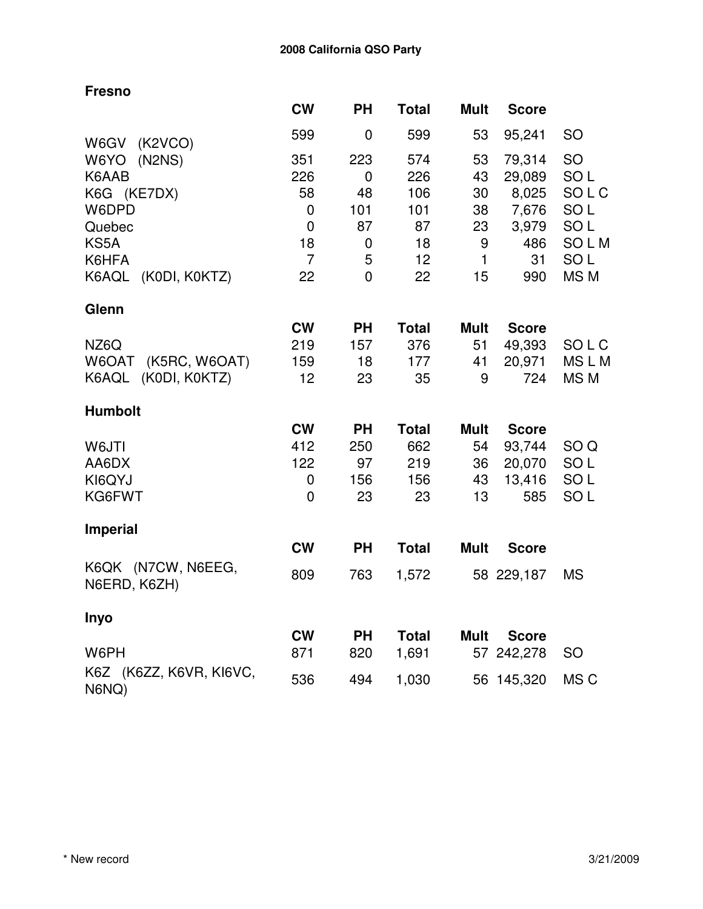|             | <b>PH</b>                         | <b>Total</b>        | <b>Mult</b>           | <b>Score</b>       |                                                  |
|-------------|-----------------------------------|---------------------|-----------------------|--------------------|--------------------------------------------------|
| 599         | 0                                 | 599                 | 53                    | 95,241             | <b>SO</b>                                        |
| 351         | 223                               | 574                 | 53                    | 79,314             | SO                                               |
| 226         | $\mathbf 0$                       | 226                 | 43                    | 29,089             | SO <sub>L</sub>                                  |
| 58          | 48                                | 106                 | 30                    | 8,025              | SOLC                                             |
| 0           | 101                               | 101                 | 38                    | 7,676              | SO <sub>L</sub>                                  |
| $\mathbf 0$ | 87                                | 87                  | 23                    | 3,979              | SO <sub>L</sub>                                  |
| 18          | 0                                 | 18                  | 9                     | 486                | <b>SOLM</b>                                      |
|             |                                   |                     |                       |                    | SO <sub>L</sub>                                  |
|             |                                   |                     |                       |                    | MS <sub>M</sub>                                  |
|             |                                   |                     |                       |                    |                                                  |
| <b>CW</b>   | <b>PH</b>                         | <b>Total</b>        | Mult                  | <b>Score</b>       |                                                  |
| 219         | 157                               | 376                 | 51                    | 49,393             | SOLC                                             |
| 159         | 18                                | 177                 | 41                    | 20,971             | <b>MSLM</b>                                      |
| 12          | 23                                | 35                  | 9                     | 724                | MS M                                             |
|             |                                   |                     |                       |                    |                                                  |
| <b>CW</b>   | <b>PH</b>                         | <b>Total</b>        | <b>Mult</b>           | <b>Score</b>       |                                                  |
| 412         | 250                               | 662                 | 54                    | 93,744             | SO <sub>Q</sub>                                  |
| 122         | 97                                | 219                 | 36                    | 20,070             | SO <sub>L</sub>                                  |
| 0           | 156                               | 156                 | 43                    | 13,416             | SO <sub>L</sub>                                  |
| $\mathbf 0$ | 23                                | 23                  | 13                    | 585                | SO <sub>L</sub>                                  |
|             |                                   |                     |                       |                    |                                                  |
| <b>CW</b>   | <b>PH</b>                         | <b>Total</b>        | <b>Mult</b>           | <b>Score</b>       |                                                  |
| 809         | 763                               | 1,572               |                       |                    | <b>MS</b>                                        |
|             |                                   |                     |                       |                    |                                                  |
| <b>CW</b>   | <b>PH</b>                         | <b>Total</b>        | <b>Mult</b>           | <b>Score</b>       |                                                  |
| 871         | 820                               | 1,691               | 57                    |                    | <b>SO</b>                                        |
| 536         | 494                               | 1,030               |                       |                    | MS C                                             |
|             | <b>CW</b><br>$\overline{7}$<br>22 | 5<br>$\overline{0}$ | 12 <sub>2</sub><br>22 | $\mathbf{1}$<br>15 | 31<br>990<br>58 229,187<br>242,278<br>56 145,320 |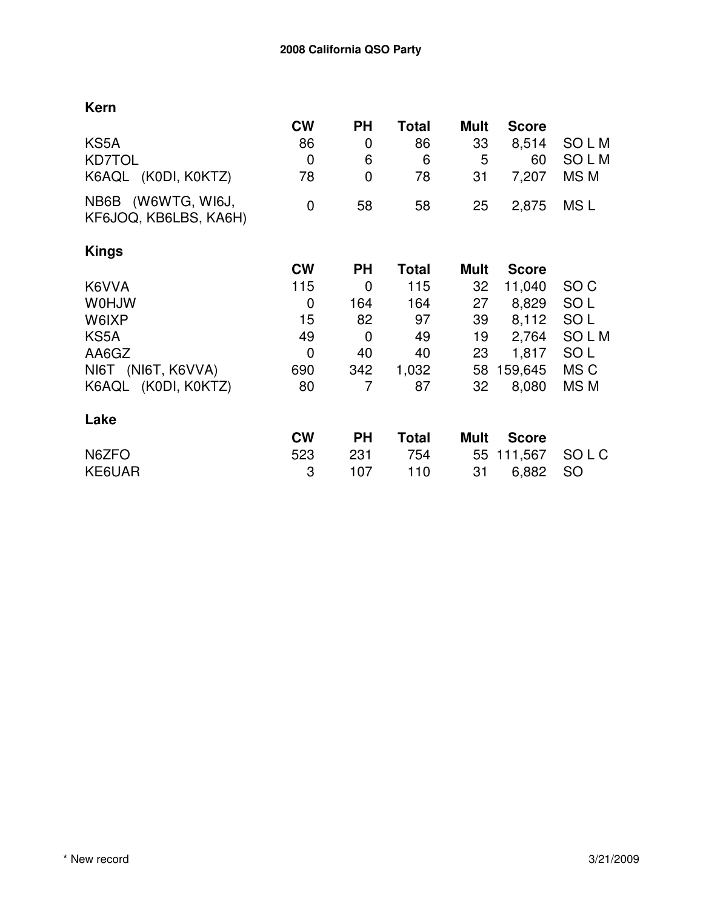|                                             | <b>CW</b>   | <b>PH</b> | Total        | <b>Mult</b> | <b>Score</b> |                 |
|---------------------------------------------|-------------|-----------|--------------|-------------|--------------|-----------------|
| KS5A                                        | 86          | 0         | 86           | 33          | 8,514        | <b>SOLM</b>     |
| <b>KD7TOL</b>                               | $\mathbf 0$ | 6         | 6            | 5           | 60           | SOLM            |
| K6AQL (K0DI, K0KTZ)                         | 78          | 0         | 78           | 31          | 7,207        | MS <sub>M</sub> |
| NB6B (W6WTG, WI6J,<br>KF6JOQ, KB6LBS, KA6H) | $\mathbf 0$ | 58        | 58           | 25          | 2,875        | MS L            |
| Kings                                       |             |           |              |             |              |                 |
|                                             | <b>CW</b>   | <b>PH</b> | <b>Total</b> | <b>Mult</b> | <b>Score</b> |                 |
| K6VVA                                       | 115         | 0         | 115          | 32          | 11,040       | SO C            |
| <b>WOHJW</b>                                | 0           | 164       | 164          | 27          | 8,829        | SO <sub>L</sub> |
| W6IXP                                       | 15          | 82        | 97           | 39          | 8,112        | SO <sub>L</sub> |
| KS5A                                        | 49          | 0         | 49           | 19          | 2,764        | SOLM            |
| AA6GZ                                       | $\mathbf 0$ | 40        | 40           | 23          | 1,817        | SO <sub>L</sub> |
| NI6T (NI6T, K6VVA)                          | 690         | 342       | 1,032        | 58          | 159,645      | MS C            |
| K6AQL (K0DI, K0KTZ)                         | 80          | 7         | 87           | 32          | 8,080        | MS M            |
| Lake                                        |             |           |              |             |              |                 |
|                                             | <b>CW</b>   | <b>PH</b> | <b>Total</b> | <b>Mult</b> | <b>Score</b> |                 |
| N6ZFO                                       | 523         | 231       | 754          | 55          | 111,567      | SO L C          |
| KE6UAR                                      | 3           | 107       | 110          | 31          | 6,882        | <b>SO</b>       |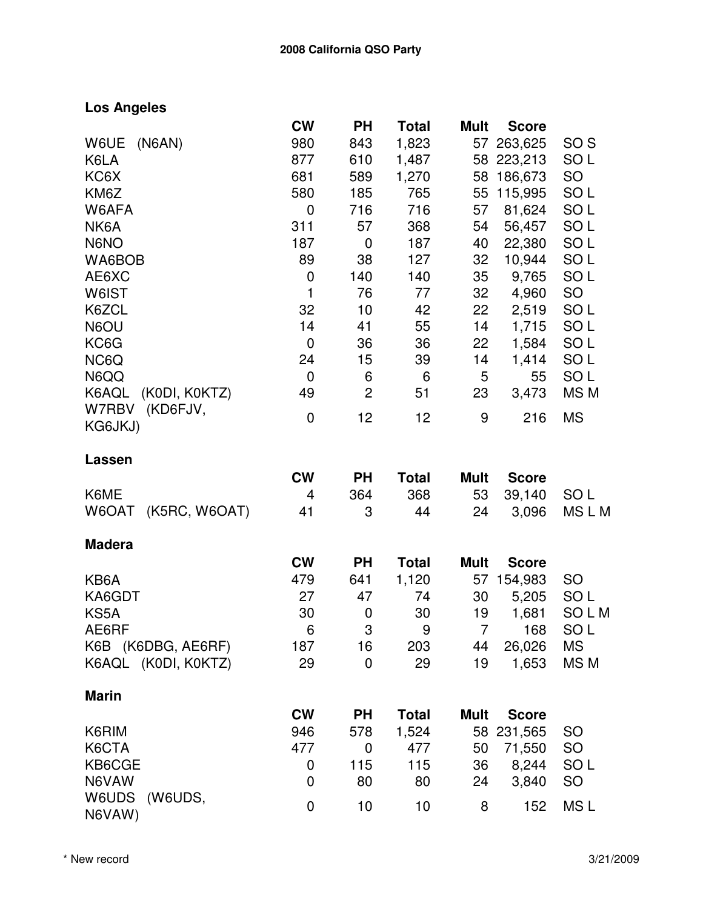## **Los Angeles**

|                            | <b>CW</b>    | <b>PH</b>                 | <b>Total</b> | <b>Mult</b>    | <b>Score</b> |                 |
|----------------------------|--------------|---------------------------|--------------|----------------|--------------|-----------------|
| W6UE<br>(NGAN)             | 980          | 843                       | 1,823        | 57             | 263,625      | SO <sub>S</sub> |
| K6LA                       | 877          | 610                       | 1,487        |                | 58 223,213   | SO <sub>L</sub> |
| KC6X                       | 681          | 589                       | 1,270        |                | 58 186,673   | SO              |
| KM6Z                       | 580          | 185                       | 765          |                | 55 115,995   | SO <sub>L</sub> |
| W6AFA                      | 0            | 716                       | 716          | 57             | 81,624       | SO <sub>L</sub> |
| NK6A                       | 311          | 57                        | 368          | 54             | 56,457       | SO <sub>L</sub> |
| N6NO                       | 187          | $\mathbf 0$               | 187          | 40             | 22,380       | SO <sub>L</sub> |
| WA6BOB                     | 89           | 38                        | 127          | 32             | 10,944       | SO <sub>L</sub> |
| AE6XC                      | $\mathbf 0$  | 140                       | 140          | 35             | 9,765        | SO <sub>L</sub> |
| W6IST                      | $\mathbf{1}$ | 76                        | 77           | 32             | 4,960        | <b>SO</b>       |
| K6ZCL                      | 32           | 10                        | 42           | 22             | 2,519        | SO <sub>L</sub> |
| N6OU                       | 14           | 41                        | 55           | 14             | 1,715        | SO <sub>L</sub> |
| KC6G                       | $\mathbf 0$  | 36                        | 36           | 22             | 1,584        | SO <sub>L</sub> |
| NC6Q                       | 24           | 15                        | 39           | 14             | 1,414        | SO <sub>L</sub> |
| N6QQ                       | 0            | 6                         | 6            | 5              | 55           | SO <sub>L</sub> |
| K6AQL (K0DI, K0KTZ)        | 49           | $\overline{c}$            | 51           | 23             | 3,473        | MS M            |
| (KD6FJV,<br>W7RBV          | $\mathbf 0$  | 12                        | 12           | 9              | 216          | <b>MS</b>       |
| KG6JKJ)                    |              |                           |              |                |              |                 |
| Lassen                     |              |                           |              |                |              |                 |
|                            | <b>CW</b>    | <b>PH</b>                 | <b>Total</b> | <b>Mult</b>    | <b>Score</b> |                 |
| K6ME                       | 4            | 364                       | 368          | 53             | 39,140       | SO <sub>L</sub> |
| (K5RC, W6OAT)<br>W6OAT     | 41           | 3                         | 44           | 24             | 3,096        | MSLM            |
| <b>Madera</b>              |              |                           |              |                |              |                 |
|                            | <b>CW</b>    | <b>PH</b>                 | <b>Total</b> | <b>Mult</b>    | <b>Score</b> |                 |
| KB6A                       | 479          | 641                       | 1,120        |                | 57 154,983   | <b>SO</b>       |
| KA6GDT                     | 27           | 47                        | 74           | 30             | 5,205        | SO <sub>L</sub> |
| KS5A                       | 30           | 0                         | 30           | 19             | 1,681        | SOLM            |
| AE6RF                      | 6            | $\ensuremath{\mathsf{3}}$ | 9            | 7 <sup>7</sup> | 168          | SO <sub>L</sub> |
| K6B (K6DBG, AE6RF)         | 187          | 16                        | 203          | 44             | 26,026       | <b>MS</b>       |
| K6AQL (K0DI, K0KTZ)        | 29           | $\mathbf 0$               | 29           | 19             | 1,653        | MS M            |
| <b>Marin</b>               |              |                           |              |                |              |                 |
|                            | <b>CW</b>    | <b>PH</b>                 | <b>Total</b> | <b>Mult</b>    | <b>Score</b> |                 |
|                            |              | 578                       | 1,524        | 58             | 231,565      | <b>SO</b>       |
| K6RIM                      | 946          |                           |              |                |              |                 |
| K6CTA                      | 477          | $\mathbf 0$               | 477          | 50             | 71,550       | SO              |
| KB6CGE                     | 0            | 115                       | 115          | 36             | 8,244        | SO <sub>L</sub> |
| N6VAW                      | 0            | 80                        | 80           | 24             | 3,840        | <b>SO</b>       |
| W6UDS<br>(W6UDS,<br>N6VAW) | 0            | 10                        | 10           | 8              | 152          | MS <sub>L</sub> |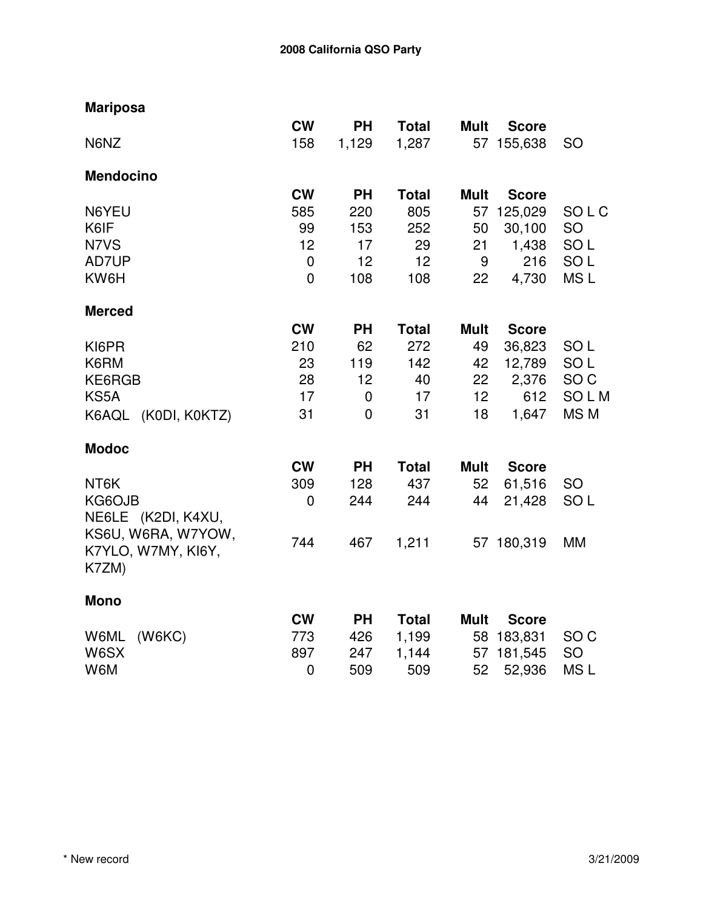| <b>Mariposa</b>     |                |             |              |                 |              |                 |
|---------------------|----------------|-------------|--------------|-----------------|--------------|-----------------|
|                     | <b>CW</b>      | <b>PH</b>   | <b>Total</b> | <b>Mult</b>     | <b>Score</b> |                 |
| N6NZ                | 158            | 1,129       | 1,287        |                 | 57 155,638   | <b>SO</b>       |
| <b>Mendocino</b>    |                |             |              |                 |              |                 |
|                     | <b>CW</b>      | <b>PH</b>   | <b>Total</b> | <b>Mult</b>     | <b>Score</b> |                 |
| N6YEU               | 585            | 220         | 805          | 57              | 125,029      | SOLC            |
| K6IF                | 99             | 153         | 252          | 50              | 30,100       | SO              |
| N7VS                | 12             | 17          | 29           | 21              | 1,438        | SO <sub>L</sub> |
| AD7UP               | $\mathbf 0$    | 12          | 12           | 9               | 216          | SO <sub>L</sub> |
| KW6H                | $\overline{0}$ | 108         | 108          | 22              | 4,730        | MS <sub>L</sub> |
| <b>Merced</b>       |                |             |              |                 |              |                 |
|                     | <b>CW</b>      | <b>PH</b>   | <b>Total</b> | <b>Mult</b>     | <b>Score</b> |                 |
| KI6PR               | 210            | 62          | 272          | 49              | 36,823       | SO <sub>L</sub> |
| K6RM                | 23             | 119         | 142          | 42              | 12,789       | SO <sub>L</sub> |
| KE6RGB              | 28             | 12          | 40           | 22              | 2,376        | SO <sub>C</sub> |
| KS5A                | 17             | 0           | 17           | 12 <sub>2</sub> | 612          | SOLM            |
| K6AQL (K0DI, K0KTZ) | 31             | $\mathbf 0$ | 31           | 18              | 1,647        | MS M            |
| <b>Modoc</b>        |                |             |              |                 |              |                 |
|                     | <b>CW</b>      | <b>PH</b>   | <b>Total</b> | <b>Mult</b>     | <b>Score</b> |                 |
| NT6K                | 309            | 128         | 437          | 52              | 61,516       | <b>SO</b>       |
| KG6OJB              | $\mathbf 0$    | 244         | 244          | 44              | 21,428       | SO <sub>L</sub> |
| NE6LE (K2DI, K4XU,  |                |             |              |                 |              |                 |
| KS6U, W6RA, W7YOW,  |                |             |              |                 |              |                 |
| K7YLO, W7MY, KI6Y,  | 744            | 467         | 1,211        |                 | 57 180,319   | MM              |
| K7ZM)               |                |             |              |                 |              |                 |
| <b>Mono</b>         |                |             |              |                 |              |                 |
|                     | <b>CW</b>      | <b>PH</b>   | <b>Total</b> | <b>Mult</b>     | <b>Score</b> |                 |
| (W6KC)<br>W6ML      | 773            | 426         | 1,199        |                 | 58 183,831   | SO <sub>C</sub> |
| W6SX                | 897            | 247         | 1,144        | 57              | 181,545      | SO              |
| W6M                 | $\mathbf 0$    | 509         | 509          | 52              | 52,936       | MS <sub>L</sub> |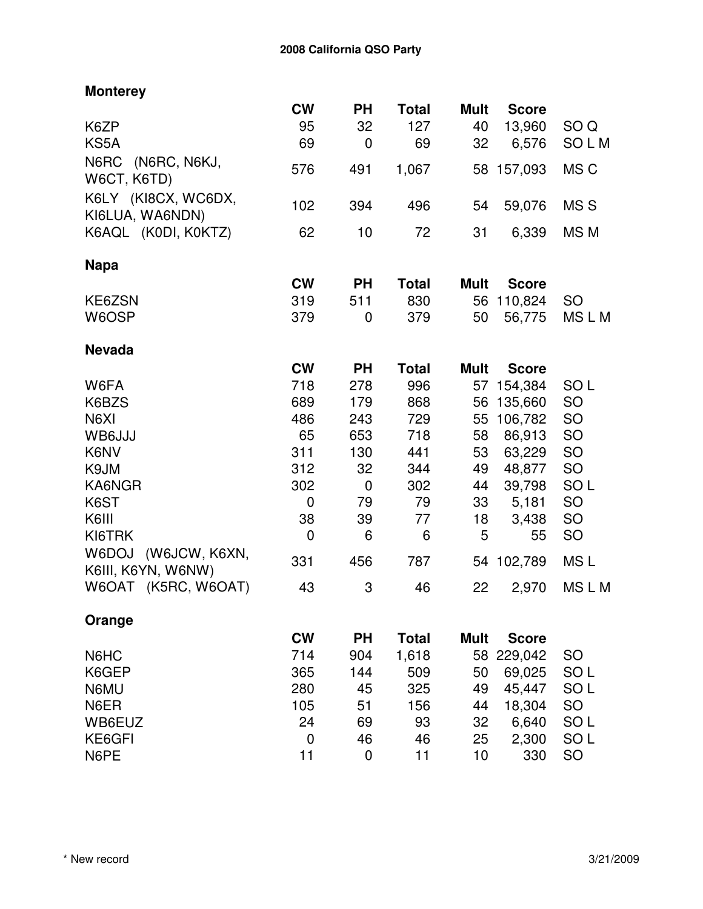| <b>Monterey</b>                              |             |             |              |             |              |                 |
|----------------------------------------------|-------------|-------------|--------------|-------------|--------------|-----------------|
|                                              | <b>CW</b>   | <b>PH</b>   | <b>Total</b> | <b>Mult</b> | <b>Score</b> |                 |
| K6ZP                                         | 95          | 32          | 127          | 40          | 13,960       | SO <sub>Q</sub> |
| KS5A                                         | 69          | $\mathbf 0$ | 69           | 32          | 6,576        | SOLM            |
| N6RC<br>(N6RC, N6KJ,<br>W6CT, K6TD)          | 576         | 491         | 1,067        |             | 58 157,093   | MS C            |
| K6LY (KI8CX, WC6DX,<br>KI6LUA, WA6NDN)       | 102         | 394         | 496          | 54          | 59,076       | MS <sub>S</sub> |
| K6AQL (K0DI, K0KTZ)                          | 62          | 10          | 72           | 31          | 6,339        | MS <sub>M</sub> |
| <b>Napa</b>                                  |             |             |              |             |              |                 |
|                                              | <b>CW</b>   | <b>PH</b>   | <b>Total</b> | <b>Mult</b> | <b>Score</b> |                 |
| KE6ZSN                                       | 319         | 511         | 830          |             | 56 110,824   | <b>SO</b>       |
| W6OSP                                        | 379         | 0           | 379          | 50          | 56,775       | MSLM            |
| <b>Nevada</b>                                |             |             |              |             |              |                 |
|                                              | <b>CW</b>   | <b>PH</b>   | <b>Total</b> | <b>Mult</b> | <b>Score</b> |                 |
| W6FA                                         | 718         | 278         | 996          | 57          | 154,384      | SO <sub>L</sub> |
| K6BZS                                        | 689         | 179         | 868          | 56          | 135,660      | SO              |
| N6XI                                         | 486         | 243         | 729          | 55          | 106,782      | SO              |
| WB6JJJ                                       | 65          | 653         | 718          | 58          | 86,913       | SO              |
| K6NV                                         | 311         | 130         | 441          | 53          | 63,229       | SO              |
| K9JM                                         | 312         | 32          | 344          | 49          | 48,877       | SO              |
| KA6NGR                                       | 302         | $\mathbf 0$ | 302          | 44          | 39,798       | SO <sub>L</sub> |
| K6ST                                         | $\mathbf 0$ | 79          | 79           | 33          | 5,181        | SO              |
| K6III                                        | 38          | 39          | 77           | 18          | 3,438        | SO              |
| KI6TRK                                       | $\mathbf 0$ | 6           | 6            | 5           | 55           | <b>SO</b>       |
| W6DOJ<br>(W6JCW, K6XN,<br>K6III, K6YN, W6NW) | 331         | 456         | 787          | 54          | 102,789      | MS <sub>L</sub> |
| W6OAT (K5RC, W6OAT)                          | 43          | 3           | 46           | 22          | 2,970        | MSLM            |
| Orange                                       |             |             |              |             |              |                 |
|                                              | <b>CW</b>   | <b>PH</b>   | <b>Total</b> | <b>Mult</b> | <b>Score</b> |                 |
| N6HC                                         | 714         | 904         | 1,618        | 58          | 229,042      | <b>SO</b>       |
| K6GEP                                        | 365         | 144         | 509          | 50          | 69,025       | SO <sub>L</sub> |
| N6MU                                         | 280         | 45          | 325          | 49          | 45,447       | SO <sub>L</sub> |
| N6ER                                         | 105         | 51          | 156          | 44          | 18,304       | SO              |

WB6EUZ 24 69 93 32 6,640 SO L

N6PE 11 0 11 10 330 SO

0 46 46 25 2,300 SOL<br>11 0 11 10 330 SO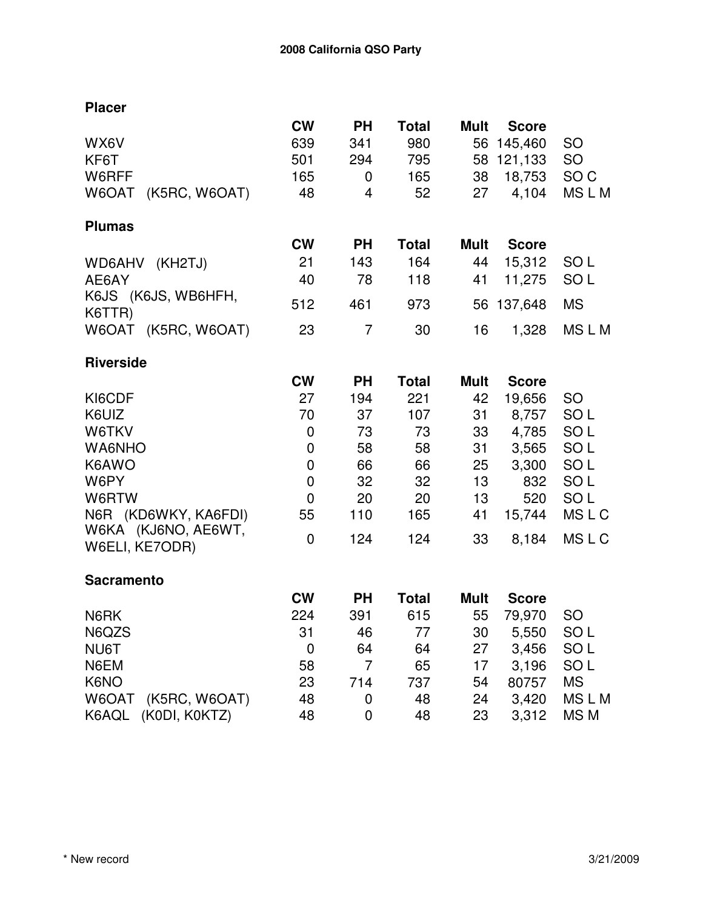| <b>Placer</b>                 |             |           |              |             |              |                 |
|-------------------------------|-------------|-----------|--------------|-------------|--------------|-----------------|
|                               | <b>CW</b>   | <b>PH</b> | <b>Total</b> | <b>Mult</b> | <b>Score</b> |                 |
| WX6V                          | 639         | 341       | 980          | 56          | 145,460      | <b>SO</b>       |
| KF6T                          | 501         | 294       | 795          |             | 58 121,133   | <b>SO</b>       |
| W6RFF                         | 165         | 0         | 165          | 38          | 18,753       | SO <sub>C</sub> |
| W6OAT<br>(K5RC, W6OAT)        | 48          | 4         | 52           | 27          | 4,104        | MSLM            |
| <b>Plumas</b>                 |             |           |              |             |              |                 |
|                               | <b>CW</b>   | <b>PH</b> | <b>Total</b> | <b>Mult</b> | <b>Score</b> |                 |
| (KH2TJ)<br>WD6AHV             | 21          | 143       | 164          | 44          | 15,312       | SO <sub>L</sub> |
| AE6AY                         | 40          | 78        | 118          | 41          | 11,275       | SO <sub>L</sub> |
| K6JS (K6JS, WB6HFH,<br>K6TTR) | 512         | 461       | 973          | 56          | 137,648      | <b>MS</b>       |
| W6OAT (K5RC, W6OAT)           | 23          | 7         | 30           | 16          | 1,328        | <b>MSLM</b>     |
| <b>Riverside</b>              |             |           |              |             |              |                 |
|                               | <b>CW</b>   | <b>PH</b> | <b>Total</b> | <b>Mult</b> | <b>Score</b> |                 |
| KI6CDF                        | 27          | 194       | 221          | 42          | 19,656       | <b>SO</b>       |
| K6UIZ                         | 70          | 37        | 107          | 31          | 8,757        | SO <sub>L</sub> |
| W6TKV                         | 0           | 73        | 73           | 33          | 4,785        | SO <sub>L</sub> |
| WA6NHO                        | $\pmb{0}$   | 58        | 58           | 31          | 3,565        | SO <sub>L</sub> |
| K6AWO                         | $\mathbf 0$ | 66        | 66           | 25          | 3,300        | SO <sub>L</sub> |
| W6PY                          | $\mathbf 0$ | 32        | 32           | 13          | 832          | SO <sub>L</sub> |
| W6RTW                         | $\mathbf 0$ | 20        | 20           | 13          | 520          | SO <sub>L</sub> |
| N6R (KD6WKY, KA6FDI)          | 55          | 110       | 165          | 41          | 15,744       | <b>MSLC</b>     |
| W6KA (KJ6NO, AE6WT,           | 0           | 124       | 124          | 33          | 8,184        | <b>MSLC</b>     |
| W6ELI, KE7ODR)                |             |           |              |             |              |                 |
| <b>Sacramento</b>             |             |           |              |             |              |                 |
|                               | <b>CW</b>   | <b>PH</b> | <b>Total</b> | <b>Mult</b> | <b>Score</b> |                 |
| N6RK                          | 224         | 391       | 615          | 55          | 79,970       | SO <sub>1</sub> |
| N6QZS                         | 31          | 46        | 77           | 30          | 5,550        | SO <sub>L</sub> |
| NU6T                          | $\mathbf 0$ | 64        | 64           | 27          | 3,456        | SO <sub>L</sub> |
| N6EM                          | 58          | 7         | 65           | 17          | 3,196        | SO <sub>L</sub> |
| K6NO                          | 23          | 714       | 737          | 54          | 80757        | <b>MS</b>       |
| W6OAT<br>(K5RC, W6OAT)        | 48          | 0         | 48           | 24          | 3,420        | <b>MSLM</b>     |
| K6AQL<br>(KODI, KOKTZ)        | 48          | 0         | 48           | 23          | 3,312        | MS M            |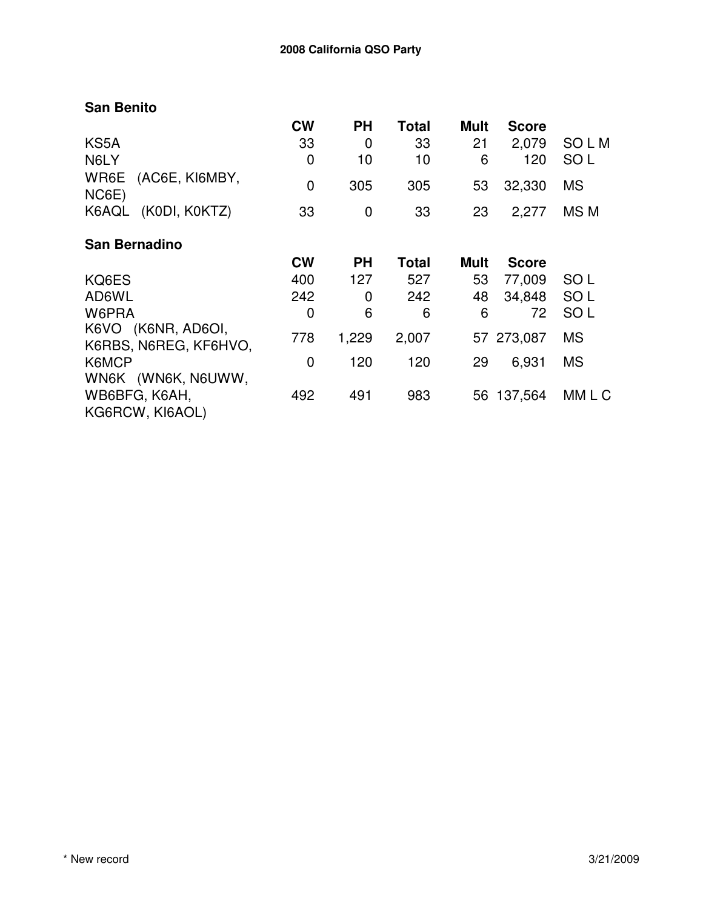## **San Benito**

|                                                        | <b>CW</b> | <b>PH</b> | Total        | Mult | <b>Score</b> |                 |
|--------------------------------------------------------|-----------|-----------|--------------|------|--------------|-----------------|
| KS5A                                                   | 33        | 0         | 33           | 21   | 2,079        | SO L M          |
| N6LY                                                   | 0         | 10        | 10           | 6    | 120          | SO <sub>L</sub> |
| WR6E<br>(AC6E, KI6MBY,<br>NC6E)                        | 0         | 305       | 305          | 53   | 32,330       | <b>MS</b>       |
| (KODI, KOKTZ)<br>K6AQL                                 | 33        | 0         | 33           | 23   | 2,277        | MS <sub>M</sub> |
| <b>San Bernadino</b>                                   |           |           |              |      |              |                 |
|                                                        | <b>CW</b> | <b>PH</b> | <b>Total</b> | Mult | <b>Score</b> |                 |
| KQ6ES                                                  | 400       | 127       | 527          | 53   | 77,009       | SO <sub>L</sub> |
| AD6WL                                                  | 242       | 0         | 242          | 48   | 34,848       | SO <sub>L</sub> |
| W6PRA                                                  | 0         | 6         | 6            | 6    | 72           | SO <sub>L</sub> |
| K6VO (K6NR, AD6OI,<br>K6RBS, N6REG, KF6HVO,            | 778       | 1,229     | 2,007        |      | 57 273,087   | <b>MS</b>       |
| K6MCP                                                  | 0         | 120       | 120          | 29   | 6,931        | <b>MS</b>       |
| WN6K (WN6K, N6UWW,<br>WB6BFG, K6AH,<br>KG6RCW, KI6AOL) | 492       | 491       | 983          | 56   | 137,564      | MM L C          |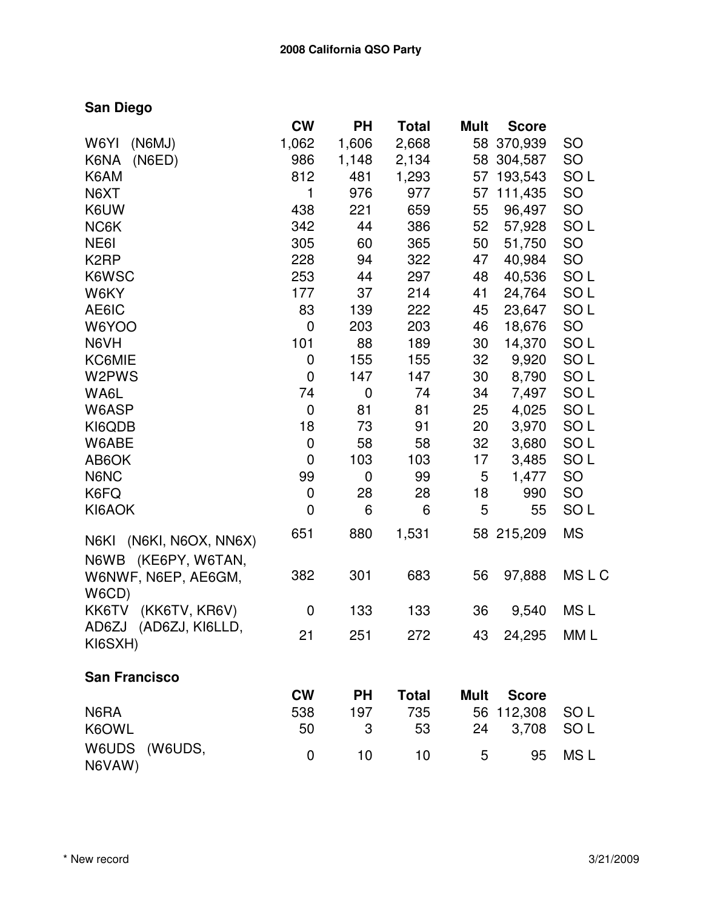## **San Diego**

|                            | <b>CW</b>        | PН          | Total        | <b>Mult</b> | <b>Score</b> |                 |
|----------------------------|------------------|-------------|--------------|-------------|--------------|-----------------|
| (N6MJ)<br>W6YI             | 1,062            | 1,606       | 2,668        | 58          | 370,939      | <b>SO</b>       |
| K6NA<br>(NED)              | 986              | 1,148       | 2,134        | 58          | 304,587      | <b>SO</b>       |
| K6AM                       | 812              | 481         | 1,293        | 57          | 193,543      | SO <sub>L</sub> |
| N6XT                       | 1                | 976         | 977          | 57          | 111,435      | SO              |
| K6UW                       | 438              | 221         | 659          | 55          | 96,497       | <b>SO</b>       |
| NC6K                       | 342              | 44          | 386          | 52          | 57,928       | SO <sub>L</sub> |
| NE61                       | 305              | 60          | 365          | 50          | 51,750       | <b>SO</b>       |
| K <sub>2</sub> RP          | 228              | 94          | 322          | 47          | 40,984       | <b>SO</b>       |
| K6WSC                      | 253              | 44          | 297          | 48          | 40,536       | SO <sub>L</sub> |
| W6KY                       | 177              | 37          | 214          | 41          | 24,764       | SO <sub>L</sub> |
| AE6IC                      | 83               | 139         | 222          | 45          | 23,647       | SO <sub>L</sub> |
| W6YOO                      | $\mathbf 0$      | 203         | 203          | 46          | 18,676       | <b>SO</b>       |
| N6VH                       | 101              | 88          | 189          | 30          | 14,370       | SO <sub>L</sub> |
| <b>KC6MIE</b>              | $\boldsymbol{0}$ | 155         | 155          | 32          | 9,920        | SO <sub>L</sub> |
| W2PWS                      | $\mathbf 0$      | 147         | 147          | 30          | 8,790        | SO <sub>L</sub> |
| WA6L                       | 74               | $\mathbf 0$ | 74           | 34          | 7,497        | SO <sub>L</sub> |
| W6ASP                      | $\mathbf 0$      | 81          | 81           | 25          | 4,025        | SO <sub>L</sub> |
| KI6QDB                     | 18               | 73          | 91           | 20          | 3,970        | SO <sub>L</sub> |
| W6ABE                      | $\mathbf 0$      | 58          | 58           | 32          | 3,680        | SO <sub>L</sub> |
| AB <sub>6</sub> OK         | $\mathbf 0$      | 103         | 103          | 17          | 3,485        | SO <sub>L</sub> |
| N6NC                       | 99               | 0           | 99           | 5           | 1,477        | SO              |
| K6FQ                       | 0                | 28          | 28           | 18          | 990          | SO              |
| KI6AOK                     | $\mathbf 0$      | 6           | 6            | 5           | 55           | SO <sub>L</sub> |
| N6KI<br>(N6KI, N6OX, NN6X) | 651              | 880         | 1,531        |             | 58 215,209   | <b>MS</b>       |
| N6WB (KE6PY, W6TAN,        |                  |             |              |             |              |                 |
| W6NWF, N6EP, AE6GM,        | 382              | 301         | 683          | 56          | 97,888       | <b>MSLC</b>     |
| W6CD)                      |                  |             |              |             |              |                 |
| KK6TV<br>(KK6TV, KR6V)     | 0                | 133         | 133          | 36          | 9,540        | MS L            |
| (AD6ZJ, KI6LLD,<br>AD6ZJ   | 21               | 251         | 272          | 43          | 24,295 MM L  |                 |
| KI6SXH)                    |                  |             |              |             |              |                 |
| <b>San Francisco</b>       |                  |             |              |             |              |                 |
|                            | <b>CW</b>        | <b>PH</b>   | <b>Total</b> | <b>Mult</b> | <b>Score</b> |                 |
| N6RA                       | 538              | 197         | 735          | 56          | 112,308      | SO <sub>L</sub> |
| K6OWL                      | 50               | 3           | 53           | 24          | 3,708        | SO <sub>L</sub> |
| W6UDS<br>(W6UDS,           |                  |             |              |             |              |                 |
| N6VAW)                     | $\mathbf 0$      | 10          | 10           | 5           | 95           | MS <sub>L</sub> |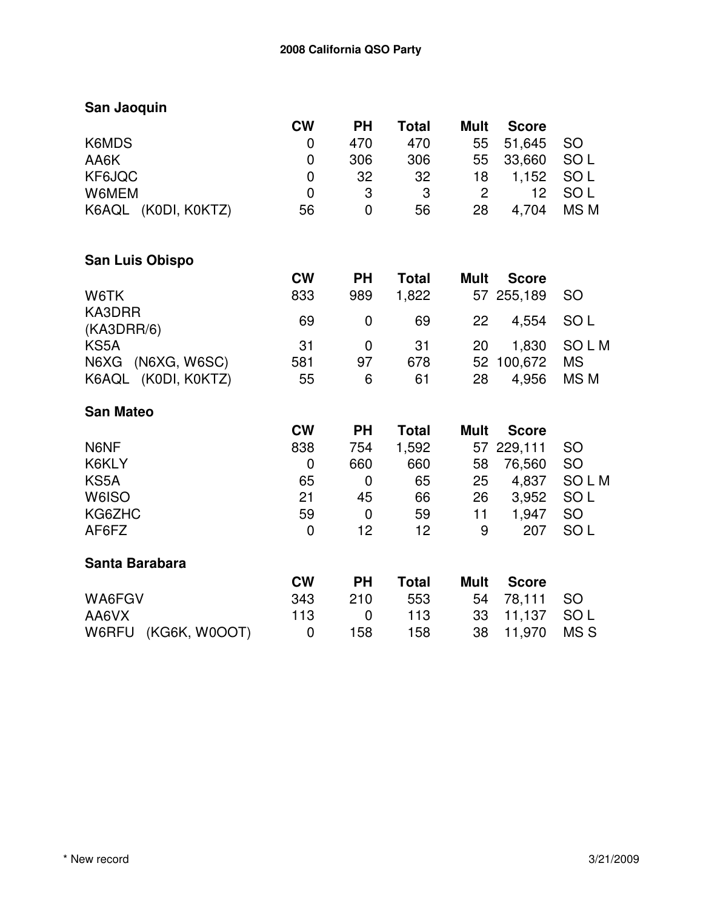| San Jaoquin            |             |             |              |                |              |                 |
|------------------------|-------------|-------------|--------------|----------------|--------------|-----------------|
|                        | <b>CW</b>   | <b>PH</b>   | <b>Total</b> | <b>Mult</b>    | <b>Score</b> |                 |
| K6MDS                  | 0           | 470         | 470          | 55             | 51,645       | <b>SO</b>       |
| AA6K                   | 0           | 306         | 306          | 55             | 33,660       | SO <sub>L</sub> |
| KF6JQC                 | 0           | 32          | 32           | 18             | 1,152        | SO <sub>L</sub> |
| W6MEM                  | $\mathbf 0$ | 3           | 3            | $\overline{2}$ | 12           | SO <sub>L</sub> |
| K6AQL (K0DI, K0KTZ)    | 56          | $\mathbf 0$ | 56           | 28             | 4,704        | MS <sub>M</sub> |
| <b>San Luis Obispo</b> |             |             |              |                |              |                 |
|                        | <b>CW</b>   | <b>PH</b>   | <b>Total</b> | <b>Mult</b>    | <b>Score</b> |                 |
| W6TK                   | 833         | 989         | 1,822        | 57             | 255,189      | <b>SO</b>       |
| KA3DRR                 | 69          | $\mathbf 0$ | 69           | 22             | 4,554        | SO <sub>L</sub> |
| (KA3DRR/6)             |             |             |              |                |              |                 |
| KS5A                   | 31          | $\mathbf 0$ | 31           | 20             | 1,830        | <b>SOLM</b>     |
| (N6XG, W6SC)<br>N6XG   | 581         | 97          | 678          | 52             | 100,672      | <b>MS</b>       |
| K6AQL (K0DI, K0KTZ)    | 55          | 6           | 61           | 28             | 4,956        | MS <sub>M</sub> |
| <b>San Mateo</b>       |             |             |              |                |              |                 |
|                        | <b>CW</b>   | <b>PH</b>   | <b>Total</b> | <b>Mult</b>    | <b>Score</b> |                 |
| N6NF                   | 838         | 754         | 1,592        |                | 57 229,111   | <b>SO</b>       |
| K6KLY                  | $\mathbf 0$ | 660         | 660          | 58             | 76,560       | SO              |
| KS5A                   | 65          | $\mathbf 0$ | 65           | 25             | 4,837        | <b>SOLM</b>     |
| W6ISO                  | 21          | 45          | 66           | 26             | 3,952        | SO <sub>L</sub> |
| KG6ZHC                 | 59          | $\mathbf 0$ | 59           | 11             | 1,947        | <b>SO</b>       |
| AF6FZ                  | $\mathbf 0$ | 12          | 12           | 9              | 207          | SO <sub>L</sub> |
| Santa Barabara         |             |             |              |                |              |                 |
|                        | <b>CW</b>   | <b>PH</b>   | <b>Total</b> | <b>Mult</b>    | <b>Score</b> |                 |
| WA6FGV                 | 343         | 210         | 553          | 54             | 78,111       | SO              |
| AA6VX                  | 113         | $\mathbf 0$ | 113          | 33             | 11,137       | SO <sub>L</sub> |
| W6RFU<br>(KG6K, W0OOT) | $\mathbf 0$ | 158         | 158          | 38             | 11,970       | MS <sub>S</sub> |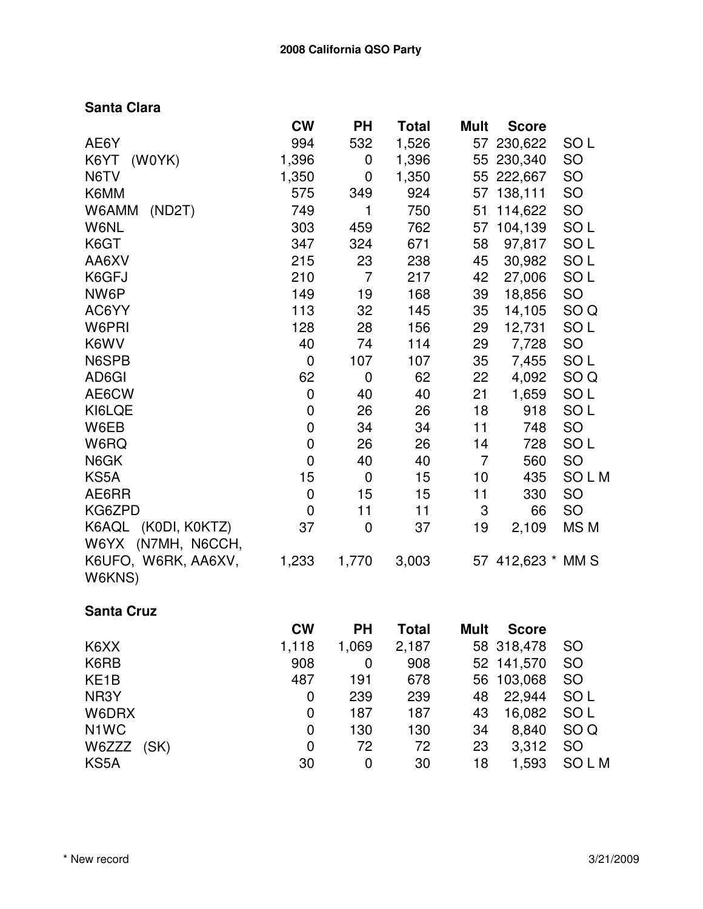## **Santa Clara**

|                     | <b>CW</b>      | <b>PH</b>        | Total        | <b>Mult</b>    | <b>Score</b>      |                 |
|---------------------|----------------|------------------|--------------|----------------|-------------------|-----------------|
| AE6Y                | 994            | 532              | 1,526        | 57             | 230,622           | SO <sub>L</sub> |
| K6YT<br>(W0YK)      | 1,396          | 0                | 1,396        |                | 55 230,340        | SO              |
| N6TV                | 1,350          | 0                | 1,350        |                | 55 222,667        | SO              |
| K6MM                | 575            | 349              | 924          |                | 57 138,111        | <b>SO</b>       |
| W6AMM<br>(ND2T)     | 749            | 1                | 750          | 51             | 114,622           | SO              |
| W6NL                | 303            | 459              | 762          | 57             | 104,139           | SO <sub>L</sub> |
| K6GT                | 347            | 324              | 671          | 58             | 97,817            | SO <sub>L</sub> |
| AA6XV               | 215            | 23               | 238          | 45             | 30,982            | SO <sub>L</sub> |
| K6GFJ               | 210            | $\overline{7}$   | 217          | 42             | 27,006            | SO <sub>L</sub> |
| NW6P                | 149            | 19               | 168          | 39             | 18,856            | SO              |
| AC6YY               | 113            | 32               | 145          | 35             | 14,105            | SO <sub>Q</sub> |
| W6PRI               | 128            | 28               | 156          | 29             | 12,731            | SO <sub>L</sub> |
| K6WV                | 40             | 74               | 114          | 29             | 7,728             | SO              |
| N6SPB               | $\mathbf 0$    | 107              | 107          | 35             | 7,455             | SO <sub>L</sub> |
| AD6GI               | 62             | $\mathbf 0$      | 62           | 22             | 4,092             | SO <sub>Q</sub> |
| AE6CW               | $\mathbf 0$    | 40               | 40           | 21             | 1,659             | SO <sub>L</sub> |
| KI6LQE              | $\mathbf 0$    | 26               | 26           | 18             | 918               | SO <sub>L</sub> |
| W6EB                | $\overline{0}$ | 34               | 34           | 11             | 748               | <b>SO</b>       |
| W6RQ                | $\overline{0}$ | 26               | 26           | 14             | 728               | SO <sub>L</sub> |
| N6GK                | $\mathbf 0$    | 40               | 40           | $\overline{7}$ | 560               | SO              |
| KS5A                | 15             | $\boldsymbol{0}$ | 15           | 10             | 435               | <b>SOLM</b>     |
| AE6RR               | $\mathbf 0$    | 15               | 15           | 11             | 330               | SO              |
| KG6ZPD              | 0              | 11               | 11           | 3              | 66                | SO              |
| K6AQL (K0DI, K0KTZ) | 37             | 0                | 37           | 19             | 2,109             | MS M            |
| W6YX (N7MH, N6CCH,  |                |                  |              |                |                   |                 |
| K6UFO, W6RK, AA6XV, | 1,233          | 1,770            | 3,003        |                | 57 412,623 * MM S |                 |
| W6KNS)              |                |                  |              |                |                   |                 |
| <b>Santa Cruz</b>   |                |                  |              |                |                   |                 |
|                     | <b>CW</b>      | <b>PH</b>        | <b>Total</b> | <b>Mult</b>    | <b>Score</b>      |                 |
| K6XX                | 1,118          | 1,069            | 2,187        |                | 58 318,478        | <b>SO</b>       |
| KARR                | 908            | $\Omega$         | <b>ANG</b>   |                | 52 141 570        | SO              |

| 908 | 0     | 908  |       |        | - SO                                                               |
|-----|-------|------|-------|--------|--------------------------------------------------------------------|
| 487 | 191   | 678  |       |        | - SO                                                               |
| 0   | 239   | 239  |       |        | - SO L                                                             |
| 0   | 187   | 187  | 43    | 16,082 | SO L                                                               |
| 0   | 130   | 130  | 34    | 8,840  | SO Q                                                               |
| 0   | 72    | 72   | 23    |        |                                                                    |
| 30  | 0     | 30   | 18    | 1,593  | <b>SOLM</b>                                                        |
|     | 1,110 | UOY. | 2,101 |        | 50 310.470 SU<br>52 141,570<br>56 103,068<br>48 22,944<br>3,312 SO |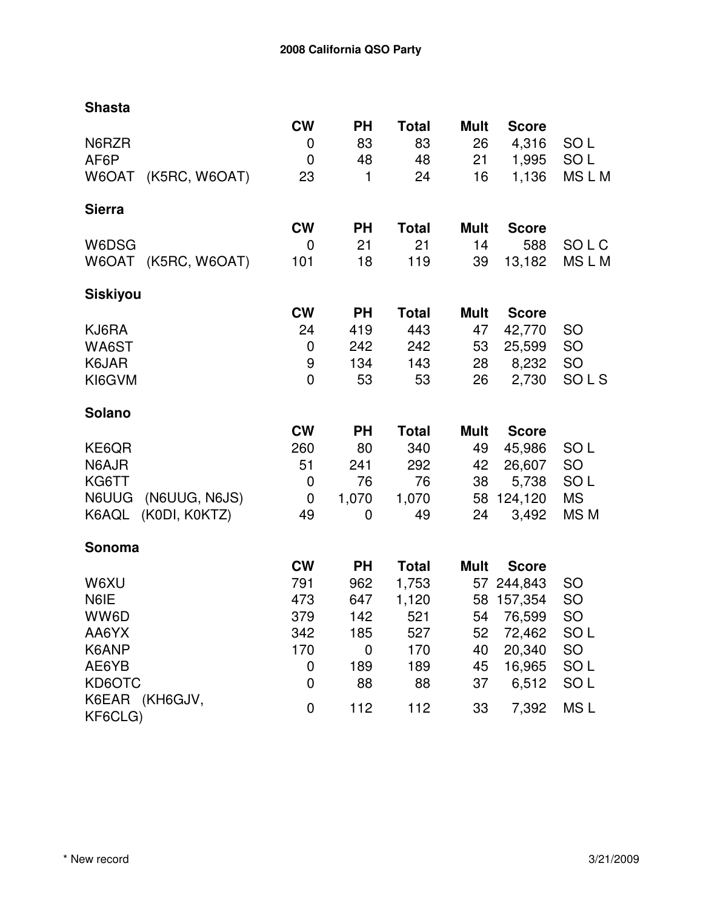| <b>Shasta</b>                 |             |             |              |             |              |                 |
|-------------------------------|-------------|-------------|--------------|-------------|--------------|-----------------|
|                               | <b>CW</b>   | <b>PH</b>   | <b>Total</b> | <b>Mult</b> | <b>Score</b> |                 |
| N6RZR                         | 0           | 83          | 83           | 26          | 4,316        | SO <sub>L</sub> |
| AF6P                          | $\mathbf 0$ | 48          | 48           | 21          | 1,995        | SO <sub>L</sub> |
| W6OAT (K5RC, W6OAT)           | 23          | 1           | 24           | 16          | 1,136        | MSLM            |
| <b>Sierra</b>                 |             |             |              |             |              |                 |
|                               | <b>CW</b>   | <b>PH</b>   | <b>Total</b> | <b>Mult</b> | <b>Score</b> |                 |
| W6DSG                         | $\mathbf 0$ | 21          | 21           | 14          | 588          | SOLC            |
| W6OAT (K5RC, W6OAT)           | 101         | 18          | 119          | 39          | 13,182       | MSLM            |
| <b>Siskiyou</b>               |             |             |              |             |              |                 |
|                               | <b>CW</b>   | <b>PH</b>   | <b>Total</b> | Mult        | <b>Score</b> |                 |
| KJ6RA                         | 24          | 419         | 443          | 47          | 42,770       | <b>SO</b>       |
| WA6ST                         | 0           | 242         | 242          | 53          | 25,599       | SO              |
| K6JAR                         | 9           | 134         | 143          | 28          | 8,232        | SO              |
| KI6GVM                        | $\mathbf 0$ | 53          | 53           | 26          | 2,730        | SOLS            |
| Solano                        |             |             |              |             |              |                 |
|                               | <b>CW</b>   | <b>PH</b>   | <b>Total</b> | <b>Mult</b> | <b>Score</b> |                 |
| KE6QR                         | 260         | 80          | 340          | 49          | 45,986       | SO <sub>L</sub> |
| N6AJR                         | 51          | 241         | 292          | 42          | 26,607       | SO              |
| KG6TT                         | 0           | 76          | 76           | 38          | 5,738        | SO <sub>L</sub> |
| (N6UUG, N6JS)<br><b>N6UUG</b> | 0           | 1,070       | 1,070        | 58          | 124,120      | <b>MS</b>       |
| (KODI, KOKTZ)<br>K6AQL        | 49          | 0           | 49           | 24          | 3,492        | MS M            |
| Sonoma                        |             |             |              |             |              |                 |
|                               | <b>CW</b>   | <b>PH</b>   | <b>Total</b> | <b>Mult</b> | <b>Score</b> |                 |
| W6XU                          | 791         | 962         | 1,753        |             | 57 244,843   | <b>SO</b>       |
| N6IE                          | 473         | 647         | 1,120        |             | 58 157,354   | SO              |
| WW6D                          | 379         | 142         | 521          | 54          | 76,599       | <b>SO</b>       |
| AA6YX                         | 342         | 185         | 527          | 52          | 72,462       | SO <sub>L</sub> |
| K6ANP                         | 170         | $\mathbf 0$ | 170          | 40          | 20,340       | SO              |
| AE6YB                         | 0           | 189         | 189          | 45          | 16,965       | SO <sub>L</sub> |
| KD6OTC                        | 0           | 88          | 88           | 37          | 6,512        | SO <sub>L</sub> |
| K6EAR (KH6GJV,<br>KF6CLG)     | 0           | 112         | 112          | 33          | 7,392        | MS <sub>L</sub> |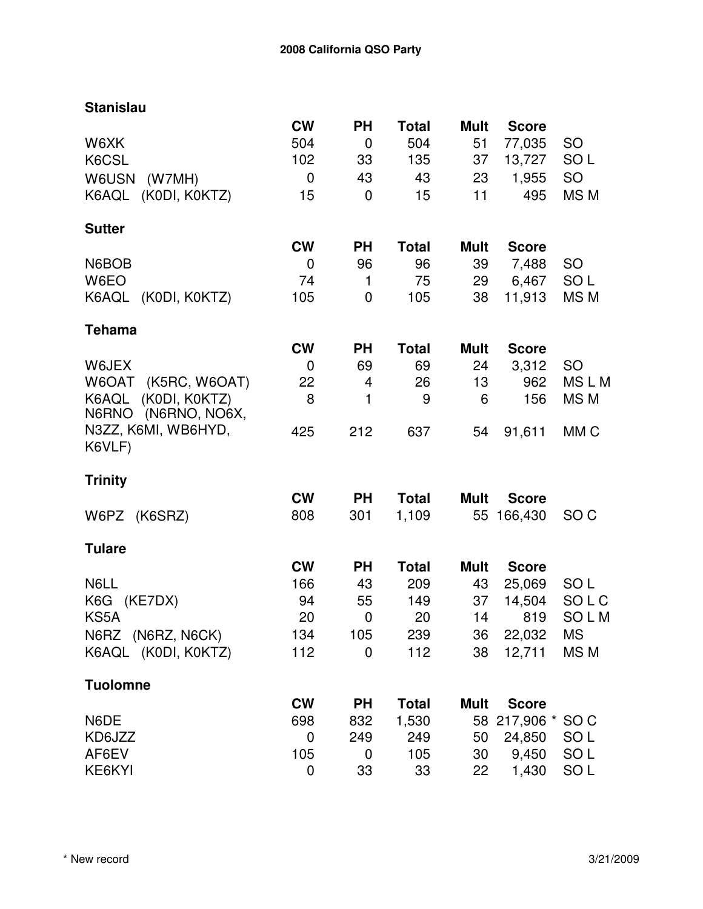| <b>Stanislau</b>                              |             |                |              |             |              |                 |
|-----------------------------------------------|-------------|----------------|--------------|-------------|--------------|-----------------|
|                                               | <b>CW</b>   | <b>PH</b>      | <b>Total</b> | <b>Mult</b> | <b>Score</b> |                 |
| W6XK                                          | 504         | $\mathbf 0$    | 504          | 51          | 77,035       | <b>SO</b>       |
| K6CSL                                         | 102         | 33             | 135          | 37          | 13,727       | SO <sub>L</sub> |
| <b>W6USN</b><br>(W7MH)                        | $\mathbf 0$ | 43             | 43           | 23          | 1,955        | SO              |
| K6AQL (K0DI, K0KTZ)                           | 15          | $\overline{0}$ | 15           | 11          | 495          | MS <sub>M</sub> |
| <b>Sutter</b>                                 |             |                |              |             |              |                 |
|                                               | <b>CW</b>   | <b>PH</b>      | <b>Total</b> | <b>Mult</b> | <b>Score</b> |                 |
| N6BOB                                         | $\mathbf 0$ | 96             | 96           | 39          | 7,488        | <b>SO</b>       |
| W6EO                                          | 74          | $\mathbf{1}$   | 75           | 29          | 6,467        | SO <sub>L</sub> |
| K6AQL (K0DI, K0KTZ)                           | 105         | 0              | 105          | 38          | 11,913       | MS <sub>M</sub> |
| <b>Tehama</b>                                 |             |                |              |             |              |                 |
|                                               | <b>CW</b>   | <b>PH</b>      | <b>Total</b> | <b>Mult</b> | <b>Score</b> |                 |
| W6JEX                                         | $\mathbf 0$ | 69             | 69           | 24          | 3,312        | <b>SO</b>       |
| (K5RC, W6OAT)<br>W6OAT                        | 22          | $\overline{4}$ | 26           | 13          | 962          | MSLM            |
| (KODI, KOKTZ)<br>K6AQL<br>N6RNO (N6RNO, NO6X, | 8           | 1              | 9            | 6           | 156          | MS M            |
| N3ZZ, K6MI, WB6HYD,<br>K6VLF)                 | 425         | 212            | 637          | 54          | 91,611       | MM <sub>C</sub> |
| <b>Trinity</b>                                |             |                |              |             |              |                 |
|                                               | <b>CW</b>   | <b>PH</b>      | <b>Total</b> | <b>Mult</b> | <b>Score</b> |                 |
| W6PZ (K6SRZ)                                  | 808         | 301            | 1,109        |             | 55 166,430   | SO <sub>C</sub> |
| <b>Tulare</b>                                 |             |                |              |             |              |                 |
|                                               | <b>CW</b>   | <b>PH</b>      | <b>Total</b> | <b>Mult</b> | <b>Score</b> |                 |
| N6LL                                          | 166         | 43             | 209          | 43          | 25,069       | SO <sub>L</sub> |
| K6G (KE7DX)                                   | 94          | 55             | 149          | 37          | 14,504       | SOLC            |
| KS5A                                          | 20          | $\overline{0}$ | 20           | 14          | 819          | SOLM            |
| N6RZ (N6RZ, N6CK)                             | 134         | 105            | 239          | 36          | 22,032       | <b>MS</b>       |
| K6AQL (K0DI, K0KTZ)                           | 112         | $\mathbf 0$    | 112          | 38          | 12,711       | MS <sub>M</sub> |
| <b>Tuolomne</b>                               |             |                |              |             |              |                 |
|                                               | <b>CW</b>   | <b>PH</b>      | <b>Total</b> | <b>Mult</b> | <b>Score</b> |                 |
| N6DE                                          | 698         | 832            | 1,530        | 58          | 217,906 *    | SO C            |
| KD6JZZ                                        | 0           | 249            | 249          | 50          | 24,850       | SO <sub>L</sub> |
| AF6EV                                         | 105         | 0              | 105          | 30          | 9,450        | SO <sub>L</sub> |
| KE6KYI                                        | $\mathbf 0$ | 33             | 33           | 22          | 1,430        | SO <sub>L</sub> |